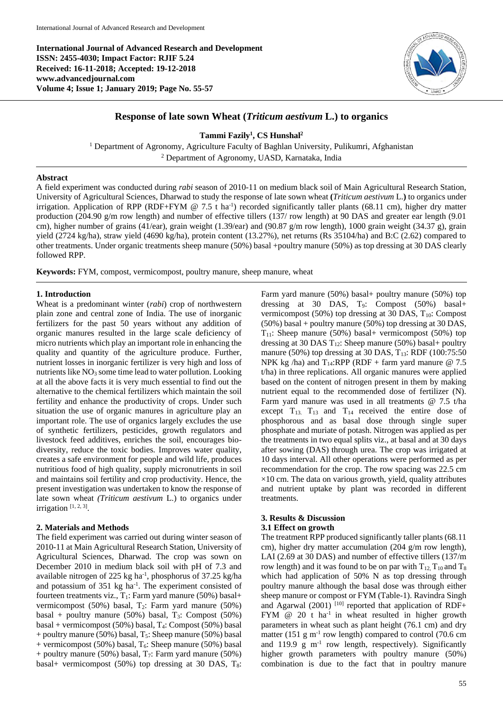**International Journal of Advanced Research and Development ISSN: 2455-4030; Impact Factor: RJIF 5.24 Received: 16-11-2018; Accepted: 19-12-2018 www.advancedjournal.com Volume 4; Issue 1; January 2019; Page No. 55-57**



# **Response of late sown Wheat (***Triticum aestivum* **L.) to organics**

### **Tammi Fazily<sup>1</sup> , CS Hunshal<sup>2</sup>**

<sup>1</sup> Department of Agronomy, Agriculture Faculty of Baghlan University, Pulikumri, Afghanistan <sup>2</sup> Department of Agronomy, UASD, Karnataka, India

### **Abstract**

A field experiment was conducted during *rabi* season of 2010-11 on medium black soil of Main Agricultural Research Station, University of Agricultural Sciences, Dharwad to study the response of late sown wheat **(***Triticum aestivum* L.**)** to organics under irrigation. Application of RPP (RDF+FYM  $@ 7.5$  t ha<sup>-1</sup>) recorded significantly taller plants (68.11 cm), higher dry matter production (204.90 g/m row length) and number of effective tillers (137/ row length) at 90 DAS and greater ear length (9.01 cm), higher number of grains (41/ear), grain weight (1.39/ear) and (90.87 g/m row length), 1000 grain weight (34.37 g), grain yield (2724 kg/ha), straw yield (4690 kg/ha), protein content (13.27%), net returns (Rs 35104/ha) and B:C (2.62) compared to other treatments. Under organic treatments sheep manure (50%) basal +poultry manure (50%) as top dressing at 30 DAS clearly followed RPP.

**Keywords:** FYM, compost, vermicompost, poultry manure, sheep manure, wheat

## **1. Introduction**

Wheat is a predominant winter (*rabi*) crop of northwestern plain zone and central zone of India. The use of inorganic fertilizers for the past 50 years without any addition of organic manures resulted in the large scale deficiency of micro nutrients which play an important role in enhancing the quality and quantity of the agriculture produce. Further, nutrient losses in inorganic fertilizer is very high and loss of nutrients like  $NO<sub>3</sub>$  some time lead to water pollution. Looking at all the above facts it is very much essential to find out the alternative to the chemical fertilizers which maintain the soil fertility and enhance the productivity of crops. Under such situation the use of organic manures in agriculture play an important role. The use of organics largely excludes the use of synthetic fertilizers, pesticides, growth regulators and livestock feed additives, enriches the soil, encourages biodiversity, reduce the toxic bodies. Improves water quality, creates a safe environment for people and wild life, produces nutritious food of high quality, supply micronutrients in soil and maintains soil fertility and crop productivity. Hence, the present investigation was undertaken to know the response of late sown wheat *(Triticum aestivum* L.) to organics under irrigation  $[1, 2, 3]$ .

#### **2. Materials and Methods**

The field experiment was carried out during winter season of 2010-11 at Main Agricultural Research Station, University of Agricultural Sciences, Dharwad. The crop was sown on December 2010 in medium black soil with pH of 7.3 and available nitrogen of 225 kg ha<sup>-1</sup>, phosphorus of 37.25 kg/ha and potassium of 351 kg ha<sup>-1</sup>. The experiment consisted of fourteen treatments viz.,  $T_1$ : Farm yard manure (50%) basal+ vermicompost (50%) basal,  $T_2$ : Farm yard manure (50%) basal + poultry manure (50%) basal,  $T_3$ : Compost (50%) basal + vermicompost (50%) basal, T4: Compost (50%) basal + poultry manure (50%) basal,  $T_5$ : Sheep manure (50%) basal + vermicompost (50%) basal,  $T_6$ : Sheep manure (50%) basal + poultry manure (50%) basal,  $T_7$ : Farm yard manure (50%) basal+ vermicompost (50%) top dressing at 30 DAS,  $T_8$ :

Farm yard manure (50%) basal+ poultry manure (50%) top dressing at 30 DAS, T9: Compost (50%) basal+ vermicompost (50%) top dressing at 30 DAS,  $T_{10}$ : Compost (50%) basal + poultry manure (50%) top dressing at 30 DAS,  $T_{11}$ : Sheep manure (50%) basal+ vermicompost (50%) top dressing at 30 DAS  $T_{12}$ : Sheep manure (50%) basal+ poultry manure (50%) top dressing at 30 DAS,  $T_{13}$ : RDF (100:75:50) NPK kg /ha) and T<sub>14</sub>:RPP (RDF + farm yard manure  $@ 7.5$ t/ha) in three replications. All organic manures were applied based on the content of nitrogen present in them by making nutrient equal to the recommended dose of fertilizer (N). Farm yard manure was used in all treatments @ 7.5 t/ha except  $T_{13}$ .  $T_{13}$  and  $T_{14}$  received the entire dose of phosphorous and as basal dose through single super phosphate and muriate of potash. Nitrogen was applied as per the treatments in two equal splits viz., at basal and at 30 days after sowing (DAS) through urea. The crop was irrigated at 10 days interval. All other operations were performed as per recommendation for the crop. The row spacing was 22.5 cm  $\times$ 10 cm. The data on various growth, yield, quality attributes and nutrient uptake by plant was recorded in different treatments.

### **3. Results & Discussion**

### **3.1 Effect on growth**

The treatment RPP produced significantly taller plants (68.11 cm), higher dry matter accumulation (204 g/m row length), LAI (2.69 at 30 DAS) and number of effective tillers (137/m row length) and it was found to be on par with  $T_{12}$ ,  $T_{10}$  and  $T_8$ which had application of 50% N as top dressing through poultry manure although the basal dose was through either sheep manure or compost or FYM (Table-1). Ravindra Singh and Agarwal  $(2001)$ <sup>[10]</sup> reported that application of RDF+ FYM  $@ 20 t$  ha<sup>-1</sup> in wheat resulted in higher growth parameters in wheat such as plant height (76.1 cm) and dry matter (151  $\rm g$  m<sup>-1</sup> row length) compared to control (70.6 cm and  $119.9 \text{ g m}^{-1}$  row length, respectively). Significantly higher growth parameters with poultry manure (50%) combination is due to the fact that in poultry manure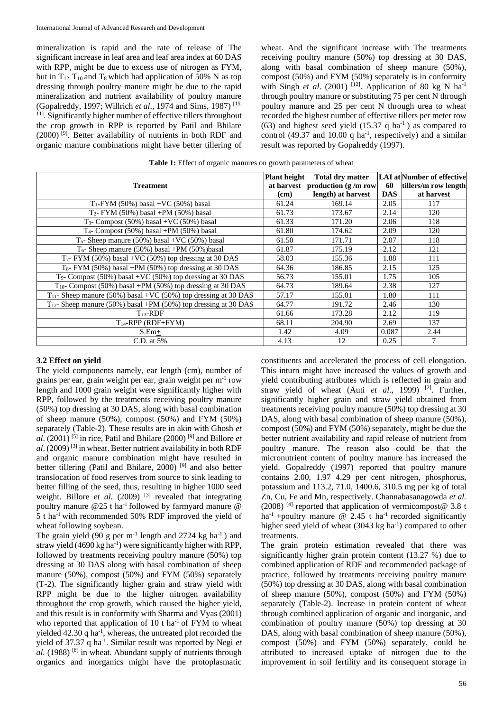mineralization is rapid and the rate of release of The significant increase in leaf area and leaf area index at 60 DAS with RPP, might be due to excess use of nitrogen as FYM, but in  $T_{12}$ ,  $T_{10}$  and  $T_8$  which had application of 50% N as top dressing through poultry manure might be due to the rapid mineralization and nutrient availability of poultry manure (Gopalreddy, 1997; Willrich *et al*., 1974 and Sims, 1987) [15, <sup>11]</sup>. Significantly higher number of effective tillers throughout the crop growth in RPP is reported by Patil and Bhilare (2000) [9] . Better availability of nutrients in both RDF and organic manure combinations might have better tillering of

wheat. And the significant increase with The treatments receiving poultry manure (50%) top dressing at 30 DAS, along with basal combination of sheep manure (50%), compost (50%) and FYM (50%) separately is in conformity with Singh *et al.* (2001) <sup>[12]</sup>. Application of 80 kg N ha<sup>-1</sup> through poultry manure or substituting 75 per cent N through poultry manure and 25 per cent N through urea to wheat recorded the highest number of effective tillers per meter row (63) and highest seed yield  $(15.37 \text{ q ha}^{-1})$  as compared to control (49.37 and 10.00  $q$  ha<sup>-1</sup>, respectively) and a similar result was reported by Gopalreddy (1997).

|  |  | Table 1: Effect of organic manures on growth parameters of wheat |  |
|--|--|------------------------------------------------------------------|--|
|--|--|------------------------------------------------------------------|--|

|                                                                      | <b>Plant height</b> | <b>Total dry matter</b>           |            | LAI at Number of effective |
|----------------------------------------------------------------------|---------------------|-----------------------------------|------------|----------------------------|
| <b>Treatment</b>                                                     |                     | at harvest production $(g/m)$ row | 60         | tillers/m row length       |
|                                                                      | (cm)                | length) at harvest                | <b>DAS</b> | at harvest                 |
| $T_1$ -FYM (50%) basal +VC (50%) basal                               | 61.24               | 169.14                            | 2.05       | 117                        |
| $T_2$ - FYM (50%) basal +PM (50%) basal                              | 61.73               | 173.67                            | 2.14       | 120                        |
| T <sub>3</sub> - Compost $(50\%)$ basal +VC $(50\%)$ basal           | 61.33               | 171.20                            | 2.06       | 118                        |
| $T_4$ - Compost (50%) basal +PM (50%) basal                          | 61.80               | 174.62                            | 2.09       | 120                        |
| T <sub>5</sub> - Sheep manure $(50\%)$ basal +VC $(50\%)$ basal      | 61.50               | 171.71                            | 2.07       | 118                        |
| $T_6$ - Sheep manure (50%) basal +PM (50%) basal                     | 61.87               | 175.19                            | 2.12       | 121                        |
| $T_7$ - FYM (50%) basal +VC (50%) top dressing at 30 DAS             | 58.03               | 155.36                            | 1.88       | 111                        |
| $T_8$ - FYM (50%) basal +PM (50%) top dressing at 30 DAS             | 64.36               | 186.85                            | 2.15       | 125                        |
| $T_9$ - Compost (50%) basal +VC (50%) top dressing at 30 DAS         | 56.73               | 155.01                            | 1.75       | 105                        |
| $T_{10}$ - Compost (50%) basal +PM (50%) top dressing at 30 DAS      | 64.73               | 189.64                            | 2.38       | 127                        |
| $T_{11}$ - Sheep manure (50%) basal +VC (50%) top dressing at 30 DAS | 57.17               | 155.01                            | 1.80       | 111                        |
| $T_{12}$ - Sheep manure (50%) basal +PM (50%) top dressing at 30 DAS | 64.77               | 191.72                            | 2.46       | 130                        |
| $T_{13}$ -RDF                                                        | 61.66               | 173.28                            | 2.12       | 119                        |
| $T_{14}$ -RPP (RDF+FYM)                                              | 68.11               | 204.90                            | 2.69       | 137                        |
| $S.Em+$                                                              | 1.42                | 4.09                              | 0.087      | 2.44                       |
| C.D. at $5\%$                                                        | 4.13                | 12                                | 0.25       |                            |

#### **3.2 Effect on yield**

The yield components namely, ear length (cm), number of grains per ear, grain weight per ear, grain weight per m-1 row length and 1000 grain weight were significantly higher with RPP, followed by the treatments receiving poultry manure (50%) top dressing at 30 DAS, along with basal combination of sheep manure (50%), compost (50%) and FYM (50%) separately (Table-2). These results are in akin with Ghosh *et*   $al.$  (2001)<sup>[5]</sup> in rice, Patil and Bhilare (2000)<sup>[9]</sup> and Billore *et al*. (2009) [3] in wheat. Better nutrient availability in both RDF and organic manure combination might have resulted in better tillering (Patil and Bhilare, 2000)<sup>[9]</sup> and also better translocation of food reserves from source to sink leading to better filling of the seed, thus, resulting in higher 1000 seed weight. Billore *et al.* (2009) <sup>[3]</sup> revealed that integrating poultry manure @25 t ha<sup>-1</sup> followed by farmyard manure @ 5 t ha-1 with recommended 50% RDF improved the yield of wheat following soybean.

The grain yield (90 g per  $m^{-1}$  length and 2724 kg ha<sup>-1</sup>) and straw yield (4690 kg ha<sup>-1</sup>) were significantly higher with RPP, followed by treatments receiving poultry manure (50%) top dressing at 30 DAS along with basal combination of sheep manure (50%), compost (50%) and FYM (50%) separately (T-2). The significantly higher grain and straw yield with RPP might be due to the higher nitrogen availability throughout the crop growth, which caused the higher yield, and this result is in conformity with Sharma and Vyas (2001) who reported that application of  $10$  t ha<sup>-1</sup> of FYM to wheat yielded 42.30 q ha<sup>-1</sup>, whereas, the untreated plot recorded the yield of 37.37 q ha<sup>-1</sup>. Similar result was reported by Negi et al. (1988)<sup>[8]</sup> in wheat. Abundant supply of nutrients through organics and inorganics might have the protoplasmatic

constituents and accelerated the process of cell elongation. This inturn might have increased the values of growth and yield contributing attributes which is reflected in grain and straw yield of wheat (Auti et al., 1999)<sup>[2]</sup>. Further, significantly higher grain and straw yield obtained from treatments receiving poultry manure (50%) top dressing at 30 DAS, along with basal combination of sheep manure (50%), compost (50%) and FYM (50%) separately, might be due the better nutrient availability and rapid release of nutrient from poultry manure. The reason also could be that the micronutrient content of poultry manure has increased the yield. Gopalreddy (1997) reported that poultry manure contains 2.00, 1.97 4.29 per cent nitrogen, phosphorus, potassium and 113.2, 71.0, 1400.6, 310.5 mg per kg of total Zn, Cu, Fe and Mn, respectively. Channabasanagowda *et al.* (2008) [4] reported that application of vermicompost@ 3.8 t ha<sup>-1</sup> +poultry manure  $@$  2.45 t ha<sup>-1</sup> recorded significantly higher seed yield of wheat (3043 kg ha<sup>-1</sup>) compared to other treatments.

The grain protein estimation revealed that there was significantly higher grain protein content (13.27 %) due to combined application of RDF and recommended package of practice, followed by treatments receiving poultry manure (50%) top dressing at 30 DAS, along with basal combination of sheep manure (50%), compost (50%) and FYM (50%) separately (Table-2). Increase in protein content of wheat through combined application of organic and inorganic, and combination of poultry manure (50%) top dressing at 30 DAS, along with basal combination of sheep manure (50%), compost (50%) and FYM (50%) separately, could be attributed to increased uptake of nitrogen due to the improvement in soil fertility and its consequent storage in